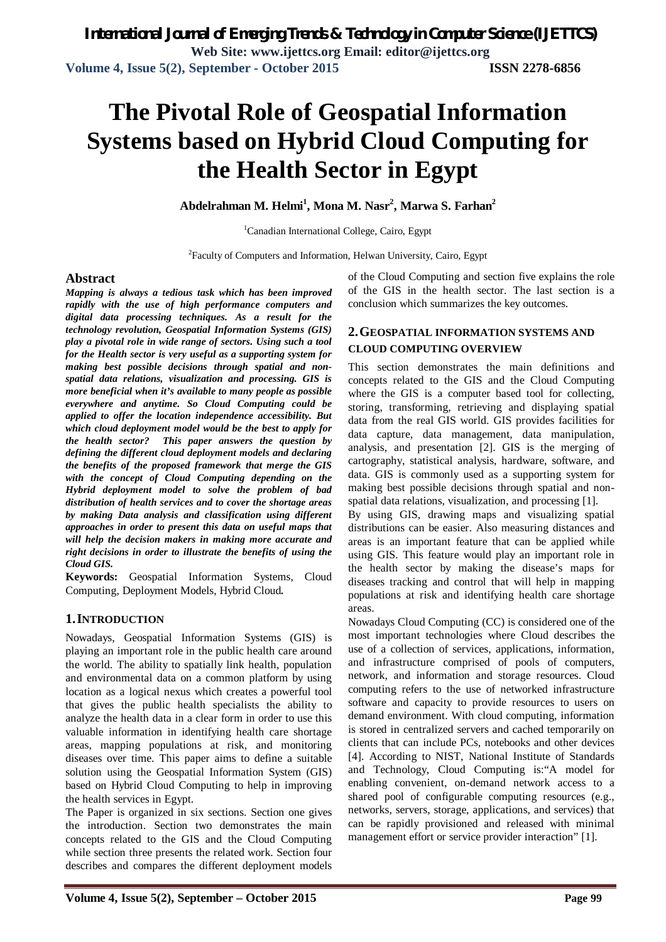# **The Pivotal Role of Geospatial Information Systems based on Hybrid Cloud Computing for the Health Sector in Egypt**

**Abdelrahman M. Helmi<sup>1</sup> , Mona M. Nasr<sup>2</sup> , Marwa S. Farhan<sup>2</sup>**

<sup>1</sup>Canadian International College, Cairo, Egypt

<sup>2</sup>Faculty of Computers and Information, Helwan University, Cairo, Egypt

#### **Abstract**

*Mapping is always a tedious task which has been improved rapidly with the use of high performance computers and digital data processing techniques. As a result for the technology revolution, Geospatial Information Systems (GIS) play a pivotal role in wide range of sectors. Using such a tool for the Health sector is very useful as a supporting system for making best possible decisions through spatial and nonspatial data relations, visualization and processing. GIS is more beneficial when it's available to many people as possible everywhere and anytime. So Cloud Computing could be applied to offer the location independence accessibility. But which cloud deployment model would be the best to apply for the health sector? This paper answers the question by defining the different cloud deployment models and declaring the benefits of the proposed framework that merge the GIS with the concept of Cloud Computing depending on the Hybrid deployment model to solve the problem of bad distribution of health services and to cover the shortage areas by making Data analysis and classification using different approaches in order to present this data on useful maps that will help the decision makers in making more accurate and right decisions in order to illustrate the benefits of using the Cloud GIS.*

**Keywords:** Geospatial Information Systems, Cloud Computing, Deployment Models, Hybrid Cloud*.*

#### **1.INTRODUCTION**

Nowadays, Geospatial Information Systems (GIS) is playing an important role in the public health care around the world. The ability to spatially link health, population and environmental data on a common platform by using location as a logical nexus which creates a powerful tool that gives the public health specialists the ability to analyze the health data in a clear form in order to use this valuable information in identifying health care shortage areas, mapping populations at risk, and monitoring diseases over time. This paper aims to define a suitable solution using the Geospatial Information System (GIS) based on Hybrid Cloud Computing to help in improving the health services in Egypt.

The Paper is organized in six sections. Section one gives the introduction. Section two demonstrates the main concepts related to the GIS and the Cloud Computing while section three presents the related work. Section four describes and compares the different deployment models of the Cloud Computing and section five explains the role of the GIS in the health sector. The last section is a conclusion which summarizes the key outcomes.

#### **2.GEOSPATIAL INFORMATION SYSTEMS AND CLOUD COMPUTING OVERVIEW**

This section demonstrates the main definitions and concepts related to the GIS and the Cloud Computing where the GIS is a computer based tool for collecting, storing, transforming, retrieving and displaying spatial data from the real GIS world. GIS provides facilities for data capture, data management, data manipulation, analysis, and presentation [2]. GIS is the merging of cartography, statistical analysis, hardware, software, and data. GIS is commonly used as a supporting system for making best possible decisions through spatial and nonspatial data relations, visualization, and processing [1].

By using GIS, drawing maps and visualizing spatial distributions can be easier. Also measuring distances and areas is an important feature that can be applied while using GIS. This feature would play an important role in the health sector by making the disease's maps for diseases tracking and control that will help in mapping populations at risk and identifying health care shortage areas.

Nowadays Cloud Computing (CC) is considered one of the most important technologies where Cloud describes the use of a collection of services, applications, information, and infrastructure comprised of pools of computers, network, and information and storage resources. Cloud computing refers to the use of networked infrastructure software and capacity to provide resources to users on demand environment. With cloud computing, information is stored in centralized servers and cached temporarily on clients that can include PCs, notebooks and other devices [4]. According to NIST, National Institute of Standards and Technology, Cloud Computing is:"A model for enabling convenient, on-demand network access to a shared pool of configurable computing resources (e.g., networks, servers, storage, applications, and services) that can be rapidly provisioned and released with minimal management effort or service provider interaction" [1].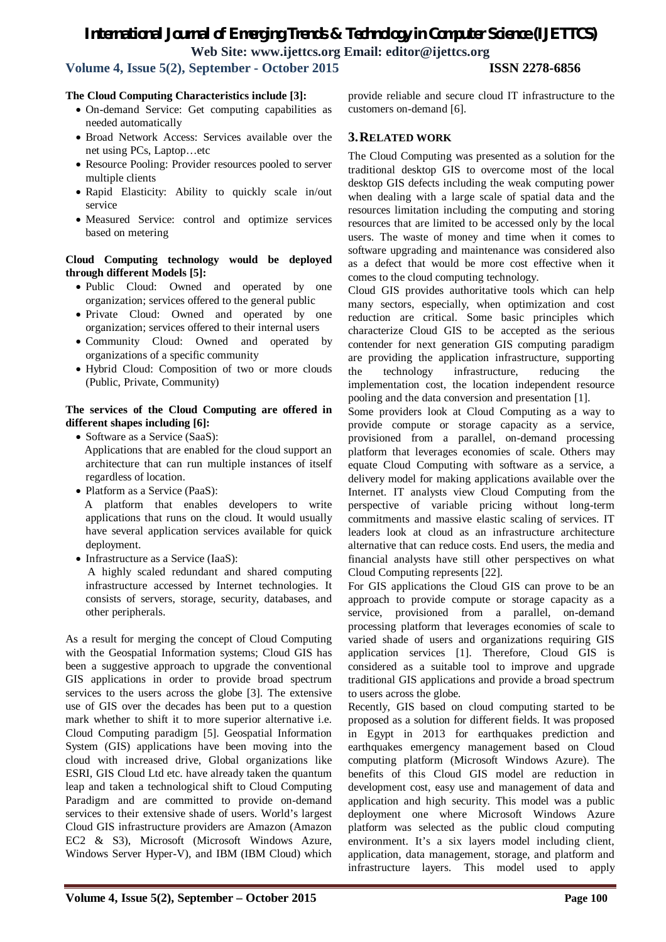### **Volume 4, Issue 5(2), September - October 2015 ISSN 2278-6856**

#### **The Cloud Computing Characteristics include [3]:**

- On-demand Service: Get computing capabilities as needed automatically
- Broad Network Access: Services available over the net using PCs, Laptop…etc
- Resource Pooling: Provider resources pooled to server multiple clients
- Rapid Elasticity: Ability to quickly scale in/out service
- Measured Service: control and optimize services based on metering

#### **Cloud Computing technology would be deployed through different Models [5]:**

- Public Cloud: Owned and operated by one organization; services offered to the general public
- Private Cloud: Owned and operated by one organization; services offered to their internal users
- Community Cloud: Owned and operated by organizations of a specific community
- Hybrid Cloud: Composition of two or more clouds (Public, Private, Community)

#### **The services of the Cloud Computing are offered in different shapes including [6]:**

- Software as a Service (SaaS): Applications that are enabled for the cloud support an architecture that can run multiple instances of itself regardless of location.
- Platform as a Service (PaaS):

 A platform that enables developers to write applications that runs on the cloud. It would usually have several application services available for quick deployment.

• Infrastructure as a Service (IaaS):

 A highly scaled redundant and shared computing infrastructure accessed by Internet technologies. It consists of servers, storage, security, databases, and other peripherals.

As a result for merging the concept of Cloud Computing with the Geospatial Information systems; Cloud GIS has been a suggestive approach to upgrade the conventional GIS applications in order to provide broad spectrum services to the users across the globe [3]. The extensive use of GIS over the decades has been put to a question mark whether to shift it to more superior alternative i.e. Cloud Computing paradigm [5]. Geospatial Information System (GIS) applications have been moving into the cloud with increased drive, Global organizations like ESRI, GIS Cloud Ltd etc. have already taken the quantum leap and taken a technological shift to Cloud Computing Paradigm and are committed to provide on-demand services to their extensive shade of users. World's largest Cloud GIS infrastructure providers are Amazon (Amazon EC2 & S3), Microsoft (Microsoft Windows Azure, Windows Server Hyper-V), and IBM (IBM Cloud) which provide reliable and secure cloud IT infrastructure to the customers on-demand [6].

#### **3.RELATED WORK**

The Cloud Computing was presented as a solution for the traditional desktop GIS to overcome most of the local desktop GIS defects including the weak computing power when dealing with a large scale of spatial data and the resources limitation including the computing and storing resources that are limited to be accessed only by the local users. The waste of money and time when it comes to software upgrading and maintenance was considered also as a defect that would be more cost effective when it comes to the cloud computing technology.

Cloud GIS provides authoritative tools which can help many sectors, especially, when optimization and cost reduction are critical. Some basic principles which characterize Cloud GIS to be accepted as the serious contender for next generation GIS computing paradigm are providing the application infrastructure, supporting the technology infrastructure, reducing the implementation cost, the location independent resource pooling and the data conversion and presentation [1].

Some providers look at Cloud Computing as a way to provide compute or storage capacity as a service, provisioned from a parallel, on-demand processing platform that leverages economies of scale. Others may equate Cloud Computing with software as a service, a delivery model for making applications available over the Internet. IT analysts view Cloud Computing from the perspective of variable pricing without long-term commitments and massive elastic scaling of services. IT leaders look at cloud as an infrastructure architecture alternative that can reduce costs. End users, the media and financial analysts have still other perspectives on what Cloud Computing represents [22].

For GIS applications the Cloud GIS can prove to be an approach to provide compute or storage capacity as a service, provisioned from a parallel, on-demand processing platform that leverages economies of scale to varied shade of users and organizations requiring GIS application services [1]. Therefore, Cloud GIS is considered as a suitable tool to improve and upgrade traditional GIS applications and provide a broad spectrum to users across the globe.

Recently, GIS based on cloud computing started to be proposed as a solution for different fields. It was proposed in Egypt in 2013 for earthquakes prediction and earthquakes emergency management based on Cloud computing platform (Microsoft Windows Azure). The benefits of this Cloud GIS model are reduction in development cost, easy use and management of data and application and high security. This model was a public deployment one where Microsoft Windows Azure platform was selected as the public cloud computing environment. It's a six layers model including client, application, data management, storage, and platform and infrastructure layers. This model used to apply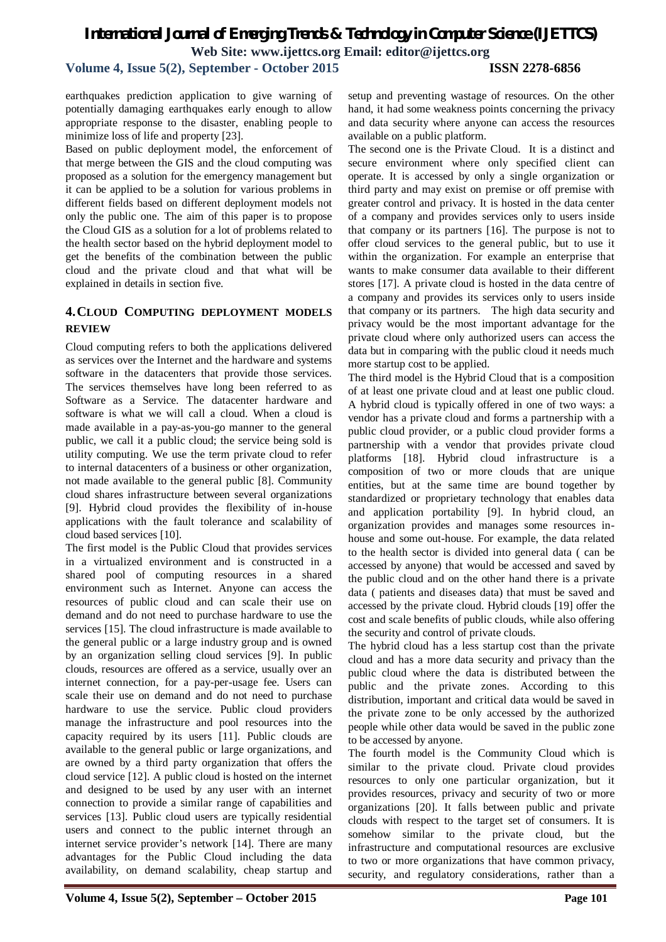**Volume 4, Issue 5(2), September - October 2015 ISSN 2278-6856**

earthquakes prediction application to give warning of potentially damaging earthquakes early enough to allow appropriate response to the disaster, enabling people to minimize loss of life and property [23].

Based on public deployment model, the enforcement of that merge between the GIS and the cloud computing was proposed as a solution for the emergency management but it can be applied to be a solution for various problems in different fields based on different deployment models not only the public one. The aim of this paper is to propose the Cloud GIS as a solution for a lot of problems related to the health sector based on the hybrid deployment model to get the benefits of the combination between the public cloud and the private cloud and that what will be explained in details in section five.

### **4.CLOUD COMPUTING DEPLOYMENT MODELS REVIEW**

Cloud computing refers to both the applications delivered as services over the Internet and the hardware and systems software in the datacenters that provide those services. The services themselves have long been referred to as Software as a Service. The datacenter hardware and software is what we will call a cloud. When a cloud is made available in a pay-as-you-go manner to the general public, we call it a public cloud; the service being sold is utility computing. We use the term private cloud to refer to internal datacenters of a business or other organization, not made available to the general public [8]. Community cloud shares infrastructure between several organizations [9]. Hybrid cloud provides the flexibility of in-house applications with the fault tolerance and scalability of cloud based services [10].

The first model is the Public Cloud that provides services in a virtualized environment and is constructed in a shared pool of computing resources in a shared environment such as Internet. Anyone can access the resources of public cloud and can scale their use on demand and do not need to purchase hardware to use the services [15]. The cloud infrastructure is made available to the general public or a large industry group and is owned by an organization selling cloud services [9]. In public clouds, resources are offered as a service, usually over an internet connection, for a pay-per-usage fee. Users can scale their use on demand and do not need to purchase hardware to use the service. Public cloud providers manage the infrastructure and pool resources into the capacity required by its users [11]. Public clouds are available to the general public or large organizations, and are owned by a third party organization that offers the cloud service [12]. A public cloud is hosted on the internet and designed to be used by any user with an internet connection to provide a similar range of capabilities and services [13]. Public cloud users are typically residential users and connect to the public internet through an internet service provider's network [14]. There are many advantages for the Public Cloud including the data availability, on demand scalability, cheap startup and

setup and preventing wastage of resources. On the other hand, it had some weakness points concerning the privacy and data security where anyone can access the resources available on a public platform.

The second one is the Private Cloud. It is a distinct and secure environment where only specified client can operate. It is accessed by only a single organization or third party and may exist on premise or off premise with greater control and privacy. It is hosted in the data center of a company and provides services only to users inside that company or its partners [16]. The purpose is not to offer cloud services to the general public, but to use it within the organization. For example an enterprise that wants to make consumer data available to their different stores [17]. A private cloud is hosted in the data centre of a company and provides its services only to users inside that company or its partners. The high data security and privacy would be the most important advantage for the private cloud where only authorized users can access the data but in comparing with the public cloud it needs much more startup cost to be applied.

The third model is the Hybrid Cloud that is a composition of at least one private cloud and at least one public cloud. A hybrid cloud is typically offered in one of two ways: a vendor has a private cloud and forms a partnership with a public cloud provider, or a public cloud provider forms a partnership with a vendor that provides private cloud platforms [18]. Hybrid cloud infrastructure is a composition of two or more clouds that are unique entities, but at the same time are bound together by standardized or proprietary technology that enables data and application portability [9]. In hybrid cloud, an organization provides and manages some resources inhouse and some out-house. For example, the data related to the health sector is divided into general data ( can be accessed by anyone) that would be accessed and saved by the public cloud and on the other hand there is a private data ( patients and diseases data) that must be saved and accessed by the private cloud. Hybrid clouds [19] offer the cost and scale benefits of public clouds, while also offering the security and control of private clouds.

The hybrid cloud has a less startup cost than the private cloud and has a more data security and privacy than the public cloud where the data is distributed between the public and the private zones. According to this distribution, important and critical data would be saved in the private zone to be only accessed by the authorized people while other data would be saved in the public zone to be accessed by anyone.

The fourth model is the Community Cloud which is similar to the private cloud. Private cloud provides resources to only one particular organization, but it provides resources, privacy and security of two or more organizations [20]. It falls between public and private clouds with respect to the target set of consumers. It is somehow similar to the private cloud, but the infrastructure and computational resources are exclusive to two or more organizations that have common privacy, security, and regulatory considerations, rather than a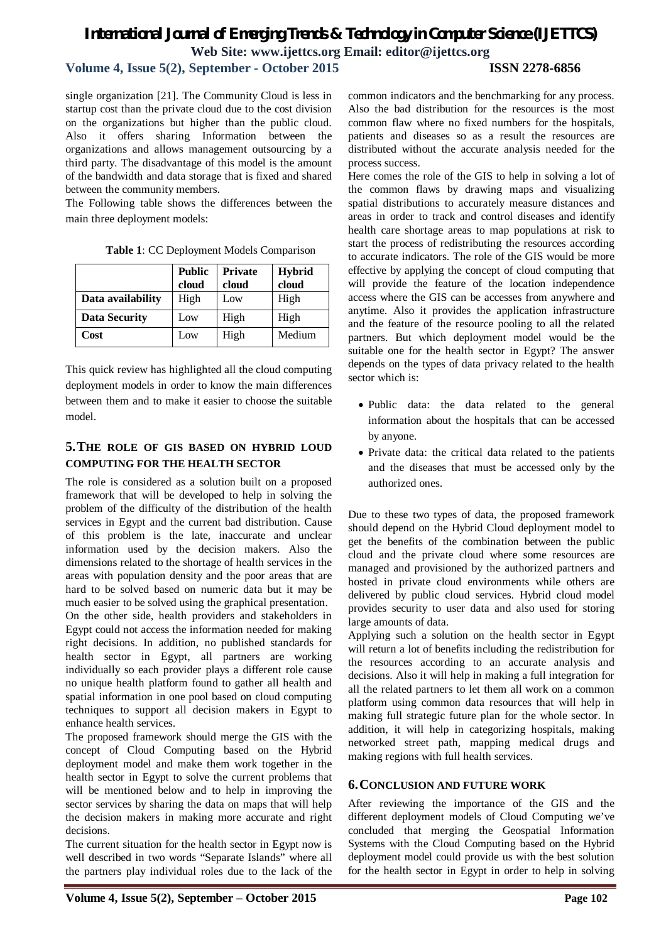**Volume 4, Issue 5(2), September - October 2015 ISSN 2278-6856**

single organization [21]. The Community Cloud is less in startup cost than the private cloud due to the cost division on the organizations but higher than the public cloud. Also it offers sharing Information between the organizations and allows management outsourcing by a third party. The disadvantage of this model is the amount of the bandwidth and data storage that is fixed and shared between the community members.

The Following table shows the differences between the main three deployment models:

|                      | <b>Public</b><br>cloud | <b>Private</b><br>cloud | <b>Hybrid</b><br>cloud |
|----------------------|------------------------|-------------------------|------------------------|
| Data availability    | High                   | Low                     | High                   |
| <b>Data Security</b> | Low                    | High                    | High                   |
| Cost                 | Low                    | High                    | Medium                 |

**Table 1**: CC Deployment Models Comparison

This quick review has highlighted all the cloud computing deployment models in order to know the main differences between them and to make it easier to choose the suitable model.

## **5.THE ROLE OF GIS BASED ON HYBRID LOUD COMPUTING FOR THE HEALTH SECTOR**

The role is considered as a solution built on a proposed framework that will be developed to help in solving the problem of the difficulty of the distribution of the health services in Egypt and the current bad distribution. Cause of this problem is the late, inaccurate and unclear information used by the decision makers. Also the dimensions related to the shortage of health services in the areas with population density and the poor areas that are hard to be solved based on numeric data but it may be much easier to be solved using the graphical presentation. On the other side, health providers and stakeholders in Egypt could not access the information needed for making right decisions. In addition, no published standards for health sector in Egypt, all partners are working individually so each provider plays a different role cause no unique health platform found to gather all health and spatial information in one pool based on cloud computing techniques to support all decision makers in Egypt to enhance health services.

The proposed framework should merge the GIS with the concept of Cloud Computing based on the Hybrid deployment model and make them work together in the health sector in Egypt to solve the current problems that will be mentioned below and to help in improving the sector services by sharing the data on maps that will help the decision makers in making more accurate and right decisions.

The current situation for the health sector in Egypt now is well described in two words "Separate Islands" where all the partners play individual roles due to the lack of the

common indicators and the benchmarking for any process. Also the bad distribution for the resources is the most common flaw where no fixed numbers for the hospitals, patients and diseases so as a result the resources are distributed without the accurate analysis needed for the process success.

Here comes the role of the GIS to help in solving a lot of the common flaws by drawing maps and visualizing spatial distributions to accurately measure distances and areas in order to track and control diseases and identify health care shortage areas to map populations at risk to start the process of redistributing the resources according to accurate indicators. The role of the GIS would be more effective by applying the concept of cloud computing that will provide the feature of the location independence access where the GIS can be accesses from anywhere and anytime. Also it provides the application infrastructure and the feature of the resource pooling to all the related partners. But which deployment model would be the suitable one for the health sector in Egypt? The answer depends on the types of data privacy related to the health sector which is:

- Public data: the data related to the general information about the hospitals that can be accessed by anyone.
- Private data: the critical data related to the patients and the diseases that must be accessed only by the authorized ones.

Due to these two types of data, the proposed framework should depend on the Hybrid Cloud deployment model to get the benefits of the combination between the public cloud and the private cloud where some resources are managed and provisioned by the authorized partners and hosted in private cloud environments while others are delivered by public cloud services. Hybrid cloud model provides security to user data and also used for storing large amounts of data.

Applying such a solution on the health sector in Egypt will return a lot of benefits including the redistribution for the resources according to an accurate analysis and decisions. Also it will help in making a full integration for all the related partners to let them all work on a common platform using common data resources that will help in making full strategic future plan for the whole sector. In addition, it will help in categorizing hospitals, making networked street path, mapping medical drugs and making regions with full health services.

#### **6.CONCLUSION AND FUTURE WORK**

After reviewing the importance of the GIS and the different deployment models of Cloud Computing we've concluded that merging the Geospatial Information Systems with the Cloud Computing based on the Hybrid deployment model could provide us with the best solution for the health sector in Egypt in order to help in solving